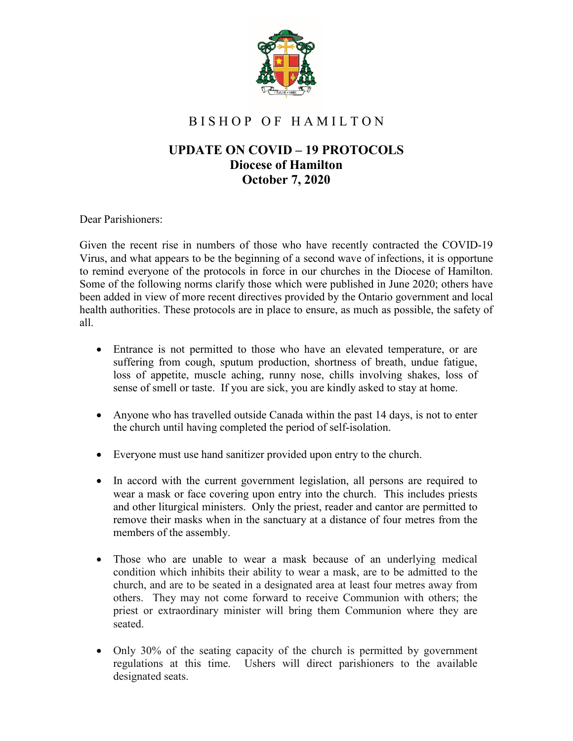

## B I S H O P O F H A M I L T O N

## **UPDATE ON COVID – 19 PROTOCOLS Diocese of Hamilton October 7, 2020**

Dear Parishioners:

Given the recent rise in numbers of those who have recently contracted the COVID-19 Virus, and what appears to be the beginning of a second wave of infections, it is opportune to remind everyone of the protocols in force in our churches in the Diocese of Hamilton. Some of the following norms clarify those which were published in June 2020; others have been added in view of more recent directives provided by the Ontario government and local health authorities. These protocols are in place to ensure, as much as possible, the safety of all.

- Entrance is not permitted to those who have an elevated temperature, or are suffering from cough, sputum production, shortness of breath, undue fatigue, loss of appetite, muscle aching, runny nose, chills involving shakes, loss of sense of smell or taste. If you are sick, you are kindly asked to stay at home.
- Anyone who has travelled outside Canada within the past 14 days, is not to enter the church until having completed the period of self-isolation.
- Everyone must use hand sanitizer provided upon entry to the church.
- In accord with the current government legislation, all persons are required to wear a mask or face covering upon entry into the church. This includes priests and other liturgical ministers. Only the priest, reader and cantor are permitted to remove their masks when in the sanctuary at a distance of four metres from the members of the assembly.
- Those who are unable to wear a mask because of an underlying medical condition which inhibits their ability to wear a mask, are to be admitted to the church, and are to be seated in a designated area at least four metres away from others. They may not come forward to receive Communion with others; the priest or extraordinary minister will bring them Communion where they are seated.
- Only 30% of the seating capacity of the church is permitted by government regulations at this time. Ushers will direct parishioners to the available designated seats.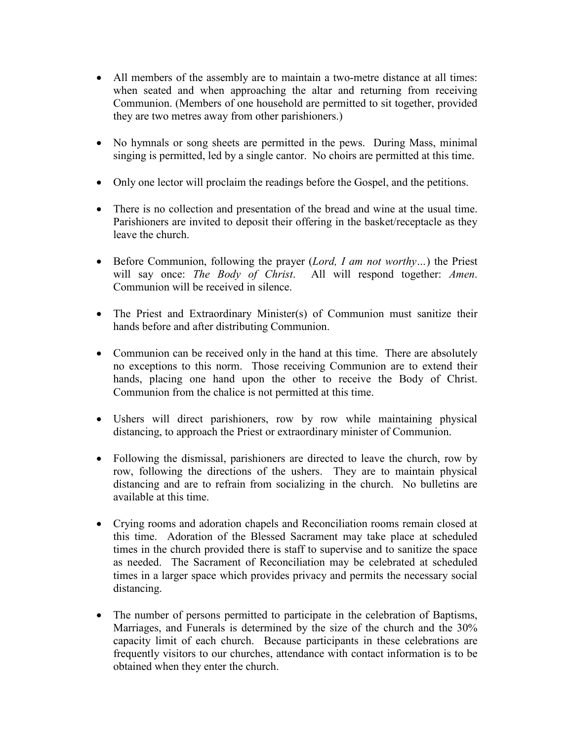- All members of the assembly are to maintain a two-metre distance at all times: when seated and when approaching the altar and returning from receiving Communion. (Members of one household are permitted to sit together, provided they are two metres away from other parishioners.)
- No hymnals or song sheets are permitted in the pews. During Mass, minimal singing is permitted, led by a single cantor. No choirs are permitted at this time.
- Only one lector will proclaim the readings before the Gospel, and the petitions.
- There is no collection and presentation of the bread and wine at the usual time. Parishioners are invited to deposit their offering in the basket/receptacle as they leave the church.
- Before Communion, following the prayer (*Lord, I am not worthy…*) the Priest will say once: *The Body of Christ*. All will respond together: *Amen*. Communion will be received in silence.
- The Priest and Extraordinary Minister(s) of Communion must sanitize their hands before and after distributing Communion.
- Communion can be received only in the hand at this time. There are absolutely no exceptions to this norm. Those receiving Communion are to extend their hands, placing one hand upon the other to receive the Body of Christ. Communion from the chalice is not permitted at this time.
- Ushers will direct parishioners, row by row while maintaining physical distancing, to approach the Priest or extraordinary minister of Communion.
- Following the dismissal, parishioners are directed to leave the church, row by row, following the directions of the ushers. They are to maintain physical distancing and are to refrain from socializing in the church. No bulletins are available at this time.
- Crying rooms and adoration chapels and Reconciliation rooms remain closed at this time. Adoration of the Blessed Sacrament may take place at scheduled times in the church provided there is staff to supervise and to sanitize the space as needed. The Sacrament of Reconciliation may be celebrated at scheduled times in a larger space which provides privacy and permits the necessary social distancing.
- The number of persons permitted to participate in the celebration of Baptisms, Marriages, and Funerals is determined by the size of the church and the 30% capacity limit of each church. Because participants in these celebrations are frequently visitors to our churches, attendance with contact information is to be obtained when they enter the church.